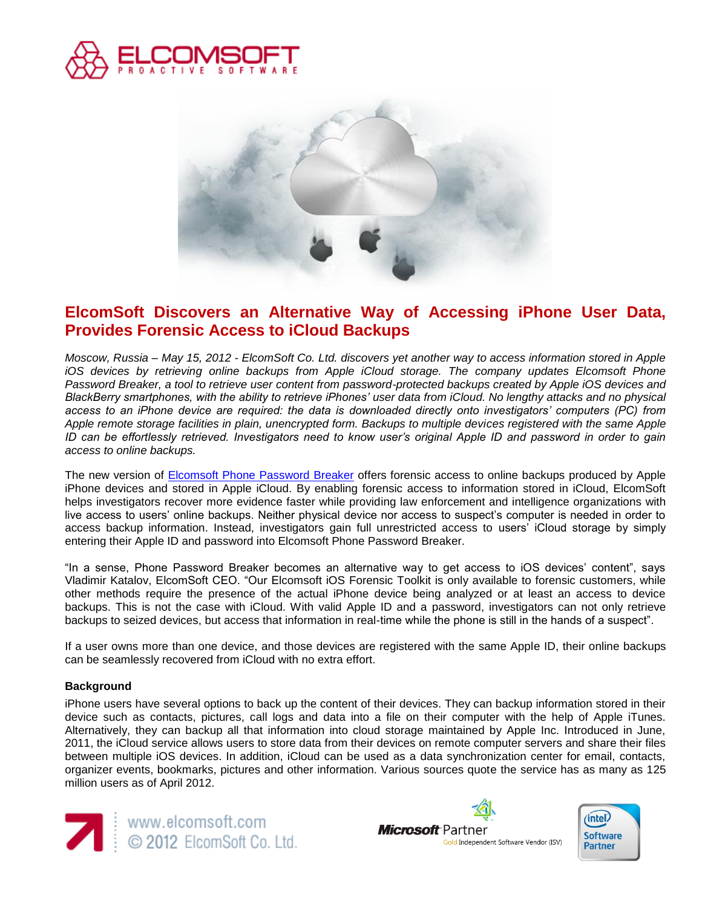



# **ElcomSoft Discovers an Alternative Way of Accessing iPhone User Data, Provides Forensic Access to iCloud Backups**

*Moscow, Russia – May 15, 2012 - ElcomSoft Co. Ltd. discovers yet another way to access information stored in Apple iOS devices by retrieving online backups from Apple iCloud storage. The company updates Elcomsoft Phone Password Breaker, a tool to retrieve user content from password-protected backups created by Apple iOS devices and BlackBerry smartphones, with the ability to retrieve iPhones' user data from iCloud. No lengthy attacks and no physical access to an iPhone device are required: the data is downloaded directly onto investigators' computers (PC) from Apple remote storage facilities in plain, unencrypted form. Backups to multiple devices registered with the same Apple ID can be effortlessly retrieved. Investigators need to know user's original Apple ID and password in order to gain access to online backups.*

The new version of [Elcomsoft Phone Password Breaker](http://elcomsoft.com/eppb.html) offers forensic access to online backups produced by Apple iPhone devices and stored in Apple iCloud. By enabling forensic access to information stored in iCloud, ElcomSoft helps investigators recover more evidence faster while providing law enforcement and intelligence organizations with live access to users' online backups. Neither physical device nor access to suspect's computer is needed in order to access backup information. Instead, investigators gain full unrestricted access to users' iCloud storage by simply entering their Apple ID and password into Elcomsoft Phone Password Breaker.

"In a sense, Phone Password Breaker becomes an alternative way to get access to iOS devices' content", says Vladimir Katalov, ElcomSoft CEO. "Our Elcomsoft iOS Forensic Toolkit is only available to forensic customers, while other methods require the presence of the actual iPhone device being analyzed or at least an access to device backups. This is not the case with iCloud. With valid Apple ID and a password, investigators can not only retrieve backups to seized devices, but access that information in real-time while the phone is still in the hands of a suspect".

If a user owns more than one device, and those devices are registered with the same Apple ID, their online backups can be seamlessly recovered from iCloud with no extra effort.

## **Background**

iPhone users have several options to back up the content of their devices. They can backup information stored in their device such as contacts, pictures, call logs and data into a file on their computer with the help of Apple iTunes. Alternatively, they can backup all that information into cloud storage maintained by Apple Inc. Introduced in June, 2011, the iCloud service allows users to store data from their devices on remote computer servers and share their files between multiple iOS devices. In addition, iCloud can be used as a data synchronization center for email, contacts, organizer events, bookmarks, pictures and other information. Various sources quote the service has as many as 125 million users as of April 2012.